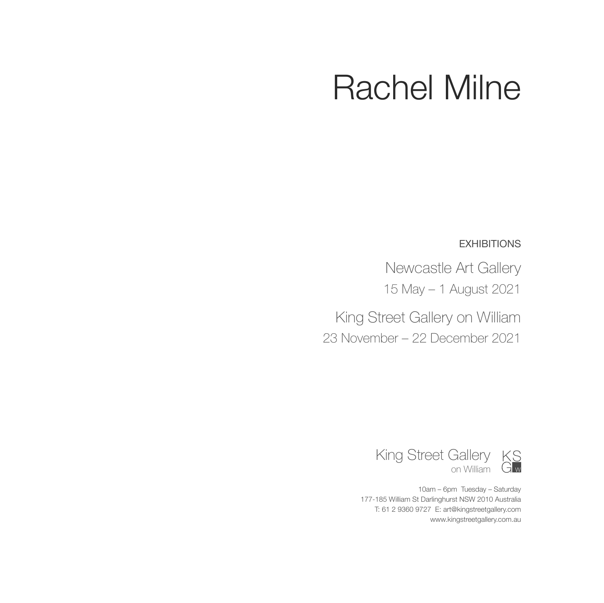## Rachel Milne

**EXHIBITIONS** 

Newcastle Art Gallery 15 May – 1 August 2021

King Street Gallery on William 23 November – 22 December 2021



10am – 6pm Tuesday – Saturday 177-185 William St Darlinghurst NSW 2010 Australia T: 61 2 9360 9727 E: art@kingstreetgallery.com www.kingstreetgallery.com.au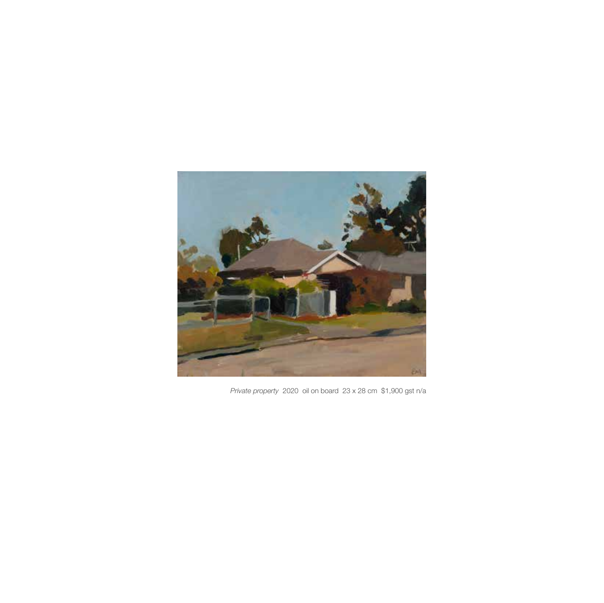

*Private property* 2020 oil on board 23 x 28 cm \$1,900 gst n/a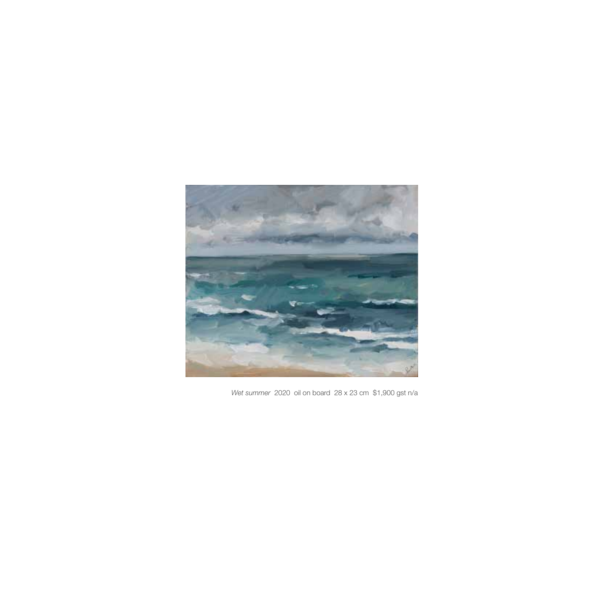

*Wet summer* 2020 oil on board 28 x 23 cm \$1,900 gst n/a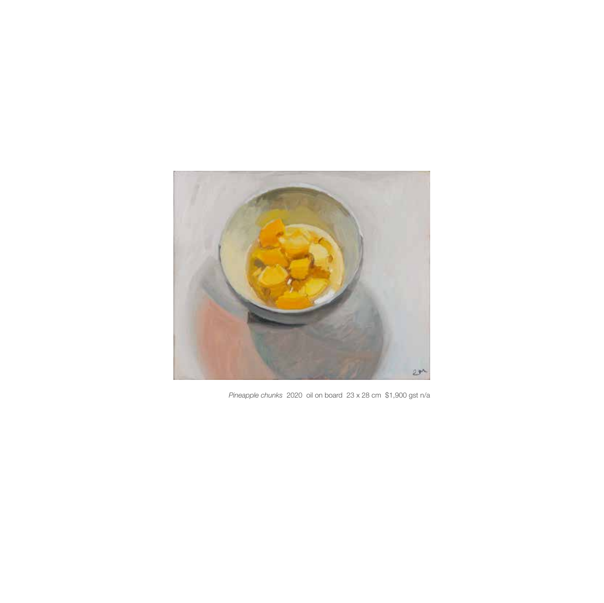

*Pineapple chunks* 2020 oil on board 23 x 28 cm \$1,900 gst n/a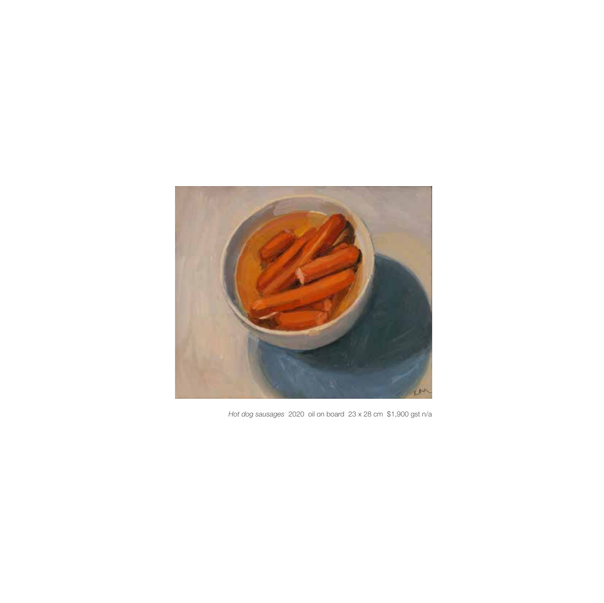

*Hot dog sausages* 2020 oil on board 23 x 28 cm \$1,900 gst n/a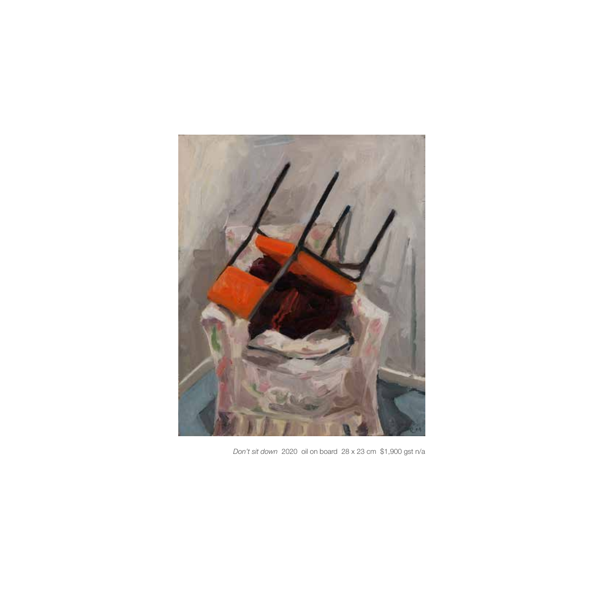

*Don't sit down* 2020 oil on board 28 x 23 cm \$1,900 gst n/a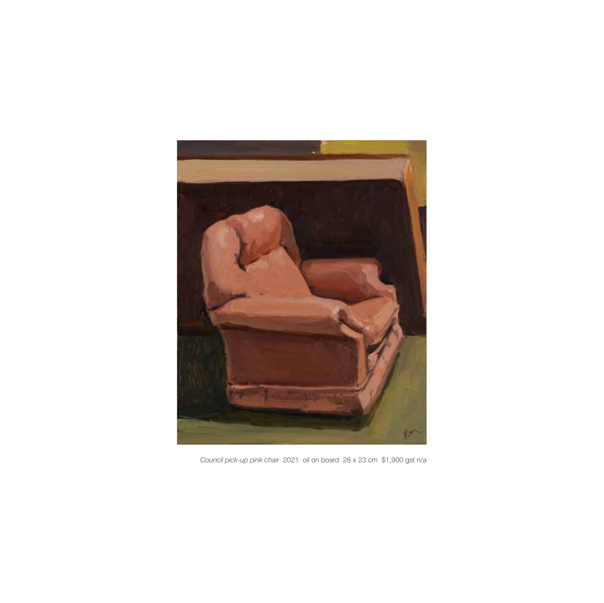

*Council pick-up pink chair* 2021 oil on board 28 x 23 cm \$1,900 gst n/a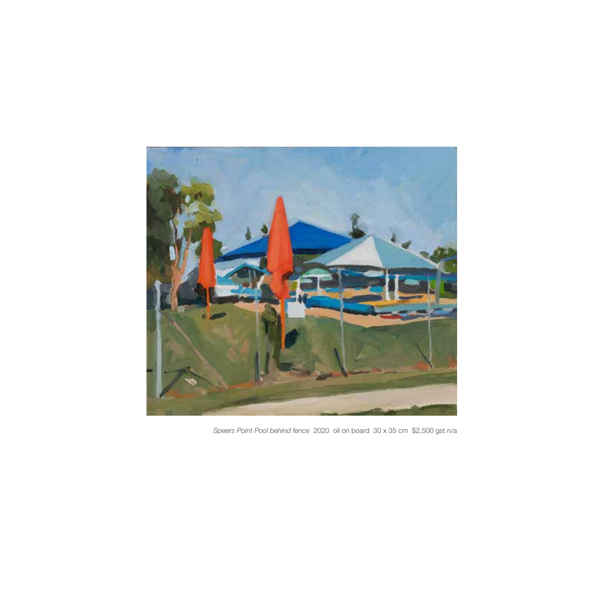

*Speers Point Pool behind fence* 2020 oil on board 30 x 35 cm \$2,500 gst n/a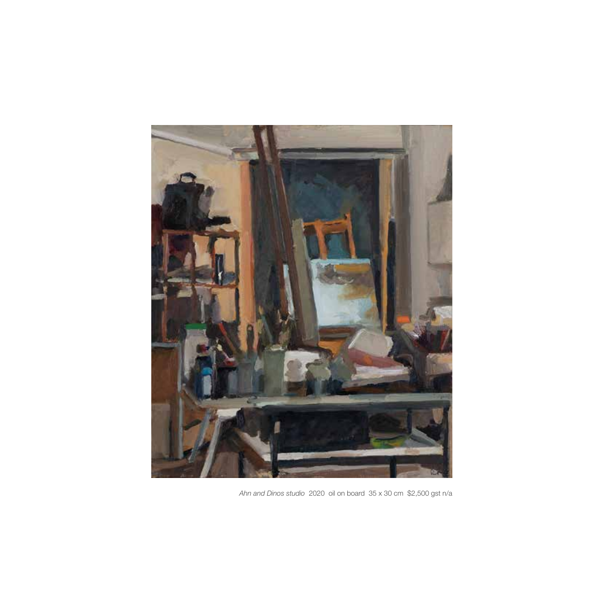

*Ahn and Dinos studio* 2020 oil on board 35 x 30 cm \$2,500 gst n/a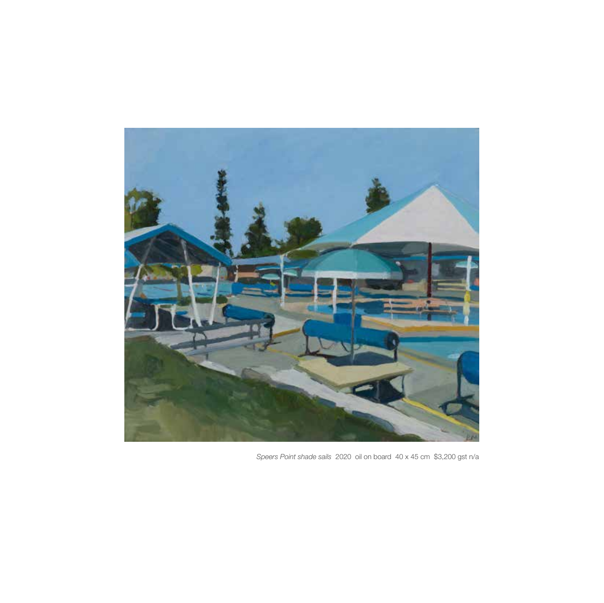

*Speers Point shade sails* 2020 oil on board 40 x 45 cm \$3,200 gst n/a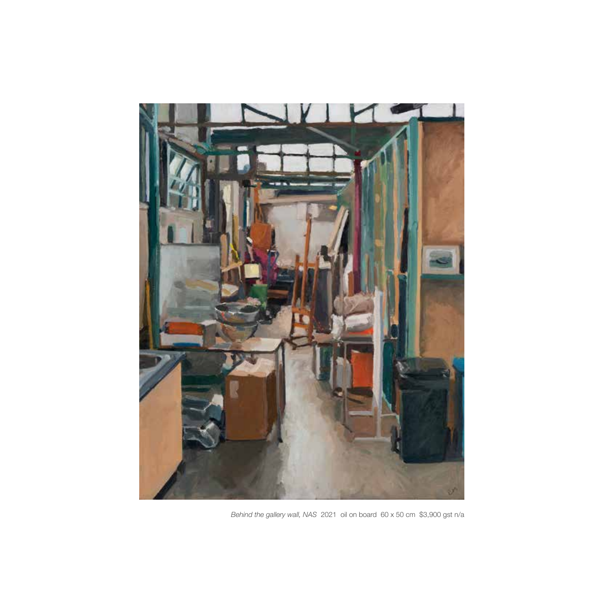

*Behind the gallery wall, NAS* 2021 oil on board 60 x 50 cm \$3,900 gst n/a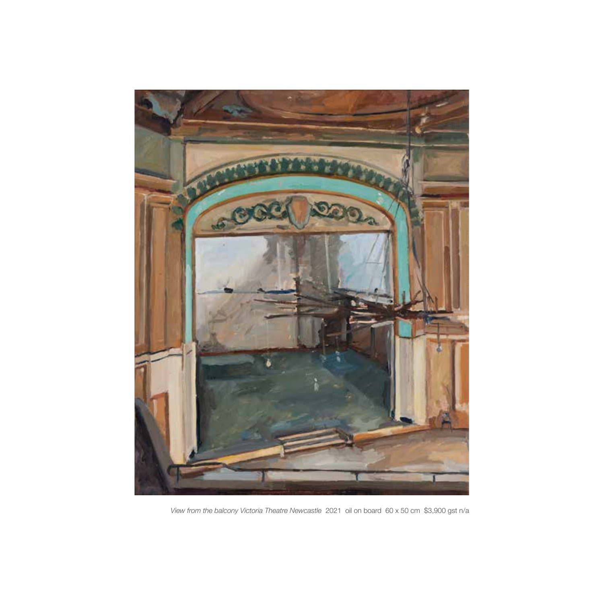

*View from the balcony Victoria Theatre Newcastle* 2021 oil on board 60 x 50 cm \$3,900 gst n/a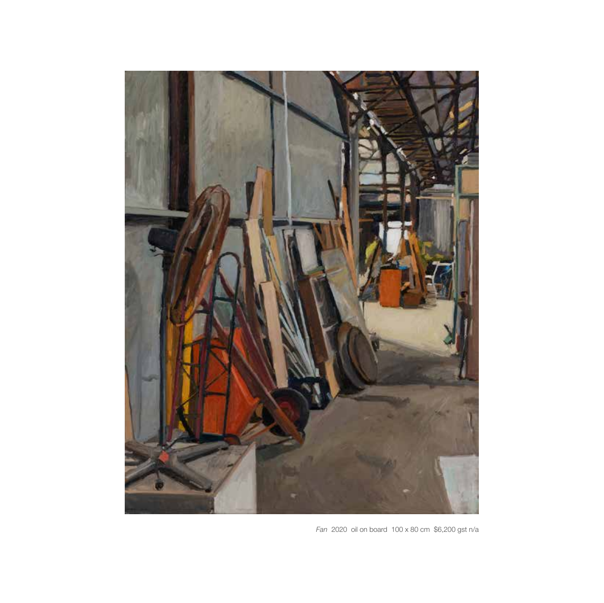

*Fan* 2020 oil on board 100 x 80 cm \$6,200 gst n/a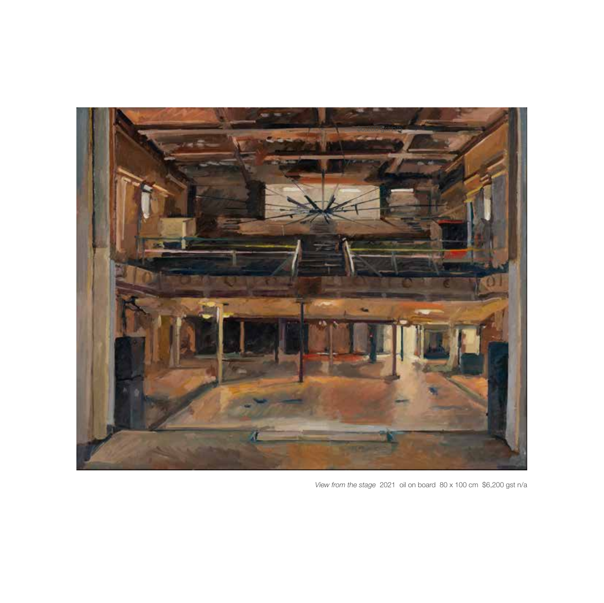

*View from the stage* 2021 oil on board 80 x 100 cm \$6,200 gst n/a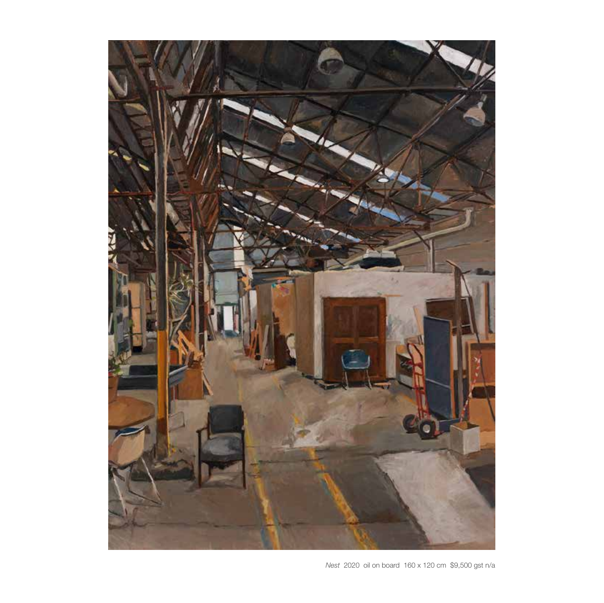

*Nest* 2020 oil on board 160 x 120 cm \$9,500 gst n/a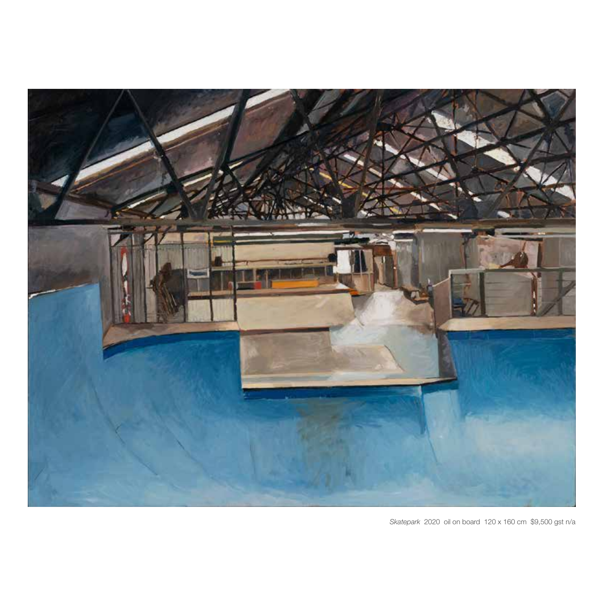

*Skatepark* 2020 oil on board 120 x 160 cm \$9,500 gst n/a